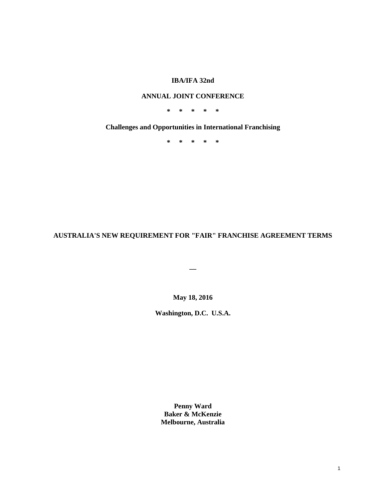# **IBA/IFA 32nd**

# **ANNUAL JOINT CONFERENCE**

**\* \* \* \* \***

**Challenges and Opportunities in International Franchising**

**\* \* \* \* \***

**AUSTRALIA'S NEW REQUIREMENT FOR "FAIR" FRANCHISE AGREEMENT TERMS**

**\_\_**

**May 18, 2016**

**Washington, D.C. U.S.A.**

**Penny Ward Baker & McKenzie Melbourne, Australia**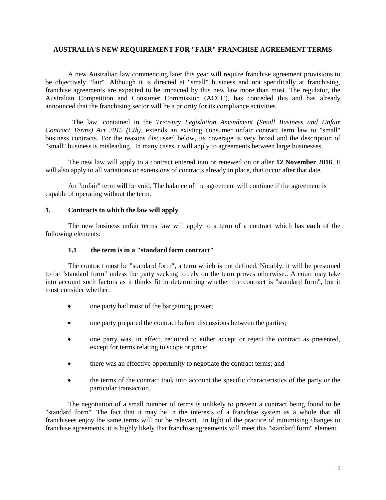## **AUSTRALIA'S NEW REQUIREMENT FOR "FAIR" FRANCHISE AGREEMENT TERMS**

A new Australian law commencing later this year will require franchise agreement provisions to be objectively "fair". Although it is directed at "small" business and not specifically at franchising, franchise agreements are expected to be impacted by this new law more than most. The regulator, the Australian Competition and Consumer Commission (ACCC), has conceded this and has already announced that the franchising sector will be a priority for its compliance activities.

The law, contained in the *Treasury Legislation Amendment (Small Business and Unfair Contract Terms) Act 2015 (Cth),* extends an existing consumer unfair contract term law to "small" business contracts. For the reasons discussed below, its coverage is very broad and the description of "small" business is misleading. In many cases it will apply to agreements between large businesses.

The new law will apply to a contract entered into or renewed on or after **12 November 2016**. It will also apply to all variations or extensions of contracts already in place, that occur after that date.

An "unfair" term will be void. The balance of the agreement will continue if the agreement is capable of operating without the term.

## **1. Contracts to which the law will apply**

The new business unfair terms law will apply to a term of a contract which has **each** of the following elements:

## **1.1 the term is in a "standard form contract"**

The contract must be "standard form", a term which is not defined. Notably, it will be presumed to be "standard form" unless the party seeking to rely on the term proves otherwise.. A court may take into account such factors as it thinks fit in determining whether the contract is "standard form", but it must consider whether:

- one party had most of the bargaining power;
- one party prepared the contract before discussions between the parties;
- one party was, in effect, required to either accept or reject the contract as presented, except for terms relating to scope or price;
- there was an effective opportunity to negotiate the contract terms; and
- the terms of the contract took into account the specific characteristics of the party or the particular transaction.

The negotiation of a small number of terms is unlikely to prevent a contract being found to be "standard form". The fact that it may be in the interests of a franchise system as a whole that all franchisees enjoy the same terms will not be relevant. In light of the practice of minimising changes to franchise agreements, it is highly likely that franchise agreements will meet this "standard form" element.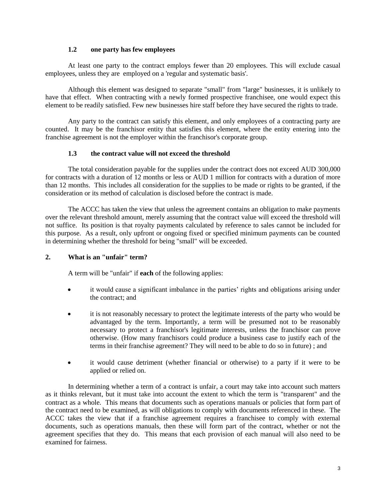## **1.2 one party has few employees**

At least one party to the contract employs fewer than 20 employees. This will exclude casual employees, unless they are employed on a 'regular and systematic basis'.

Although this element was designed to separate "small" from "large" businesses, it is unlikely to have that effect. When contracting with a newly formed prospective franchisee, one would expect this element to be readily satisfied. Few new businesses hire staff before they have secured the rights to trade.

Any party to the contract can satisfy this element, and only employees of a contracting party are counted. It may be the franchisor entity that satisfies this element, where the entity entering into the franchise agreement is not the employer within the franchisor's corporate group.

## **1.3 the contract value will not exceed the threshold**

The total consideration payable for the supplies under the contract does not exceed AUD 300,000 for contracts with a duration of 12 months or less or AUD 1 million for contracts with a duration of more than 12 months. This includes all consideration for the supplies to be made or rights to be granted, if the consideration or its method of calculation is disclosed before the contract is made.

The ACCC has taken the view that unless the agreement contains an obligation to make payments over the relevant threshold amount, merely assuming that the contract value will exceed the threshold will not suffice. Its position is that royalty payments calculated by reference to sales cannot be included for this purpose. As a result, only upfront or ongoing fixed or specified minimum payments can be counted in determining whether the threshold for being "small" will be exceeded.

## **2. What is an "unfair" term?**

A term will be "unfair" if **each** of the following applies:

- it would cause a significant imbalance in the parties' rights and obligations arising under the contract; and
- it is not reasonably necessary to protect the legitimate interests of the party who would be advantaged by the term. Importantly, a term will be presumed not to be reasonably necessary to protect a franchisor's legitimate interests, unless the franchisor can prove otherwise. (How many franchisors could produce a business case to justify each of the terms in their franchise agreement? They will need to be able to do so in future) ; and
- it would cause detriment (whether financial or otherwise) to a party if it were to be applied or relied on.

In determining whether a term of a contract is unfair, a court may take into account such matters as it thinks relevant, but it must take into account the extent to which the term is "transparent" and the contract as a whole. This means that documents such as operations manuals or policies that form part of the contract need to be examined, as will obligations to comply with documents referenced in these. The ACCC takes the view that if a franchise agreement requires a franchisee to comply with external documents, such as operations manuals, then these will form part of the contract, whether or not the agreement specifies that they do. This means that each provision of each manual will also need to be examined for fairness.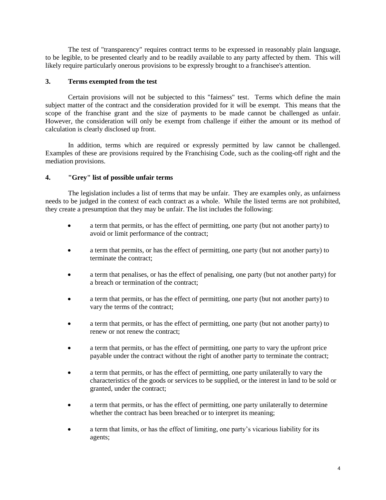The test of "transparency" requires contract terms to be expressed in reasonably plain language, to be legible, to be presented clearly and to be readily available to any party affected by them. This will likely require particularly onerous provisions to be expressly brought to a franchisee's attention.

# **3. Terms exempted from the test**

Certain provisions will not be subjected to this "fairness" test. Terms which define the main subject matter of the contract and the consideration provided for it will be exempt. This means that the scope of the franchise grant and the size of payments to be made cannot be challenged as unfair. However, the consideration will only be exempt from challenge if either the amount or its method of calculation is clearly disclosed up front.

In addition, terms which are required or expressly permitted by law cannot be challenged. Examples of these are provisions required by the Franchising Code, such as the cooling-off right and the mediation provisions.

# **4. "Grey" list of possible unfair terms**

The legislation includes a list of terms that may be unfair. They are examples only, as unfairness needs to be judged in the context of each contract as a whole. While the listed terms are not prohibited, they create a presumption that they may be unfair. The list includes the following:

- a term that permits, or has the effect of permitting, one party (but not another party) to avoid or limit performance of the contract;
- a term that permits, or has the effect of permitting, one party (but not another party) to terminate the contract;
- a term that penalises, or has the effect of penalising, one party (but not another party) for a breach or termination of the contract;
- a term that permits, or has the effect of permitting, one party (but not another party) to vary the terms of the contract;
- a term that permits, or has the effect of permitting, one party (but not another party) to renew or not renew the contract;
- a term that permits, or has the effect of permitting, one party to vary the upfront price payable under the contract without the right of another party to terminate the contract;
- a term that permits, or has the effect of permitting, one party unilaterally to vary the characteristics of the goods or services to be supplied, or the interest in land to be sold or granted, under the contract;
- a term that permits, or has the effect of permitting, one party unilaterally to determine whether the contract has been breached or to interpret its meaning;
- a term that limits, or has the effect of limiting, one party's vicarious liability for its agents;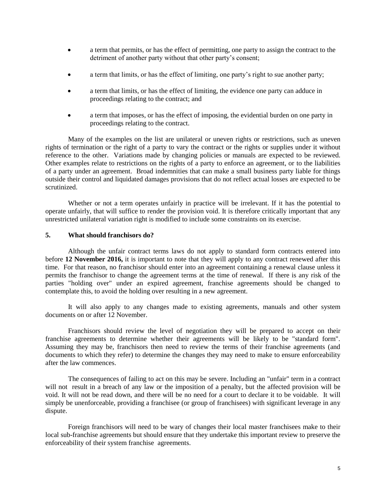- a term that permits, or has the effect of permitting, one party to assign the contract to the detriment of another party without that other party's consent;
- a term that limits, or has the effect of limiting, one party's right to sue another party;
- a term that limits, or has the effect of limiting, the evidence one party can adduce in proceedings relating to the contract; and
- a term that imposes, or has the effect of imposing, the evidential burden on one party in proceedings relating to the contract.

Many of the examples on the list are unilateral or uneven rights or restrictions, such as uneven rights of termination or the right of a party to vary the contract or the rights or supplies under it without reference to the other. Variations made by changing policies or manuals are expected to be reviewed. Other examples relate to restrictions on the rights of a party to enforce an agreement, or to the liabilities of a party under an agreement. Broad indemnities that can make a small business party liable for things outside their control and liquidated damages provisions that do not reflect actual losses are expected to be scrutinized.

Whether or not a term operates unfairly in practice will be irrelevant. If it has the potential to operate unfairly, that will suffice to render the provision void. It is therefore critically important that any unrestricted unilateral variation right is modified to include some constraints on its exercise.

#### **5. What should franchisors do?**

Although the unfair contract terms laws do not apply to standard form contracts entered into before **12 November 2016,** it is important to note that they will apply to any contract renewed after this time. For that reason, no franchisor should enter into an agreement containing a renewal clause unless it permits the franchisor to change the agreement terms at the time of renewal. If there is any risk of the parties "holding over" under an expired agreement, franchise agreements should be changed to contemplate this, to avoid the holding over resulting in a new agreement.

It will also apply to any changes made to existing agreements, manuals and other system documents on or after 12 November.

Franchisors should review the level of negotiation they will be prepared to accept on their franchise agreements to determine whether their agreements will be likely to be "standard form". Assuming they may be, franchisors then need to review the terms of their franchise agreements (and documents to which they refer) to determine the changes they may need to make to ensure enforceability after the law commences.

The consequences of failing to act on this may be severe. Including an "unfair" term in a contract will not result in a breach of any law or the imposition of a penalty, but the affected provision will be void. It will not be read down, and there will be no need for a court to declare it to be voidable. It will simply be unenforceable, providing a franchisee (or group of franchisees) with significant leverage in any dispute.

Foreign franchisors will need to be wary of changes their local master franchisees make to their local sub-franchise agreements but should ensure that they undertake this important review to preserve the enforceability of their system franchise agreements.